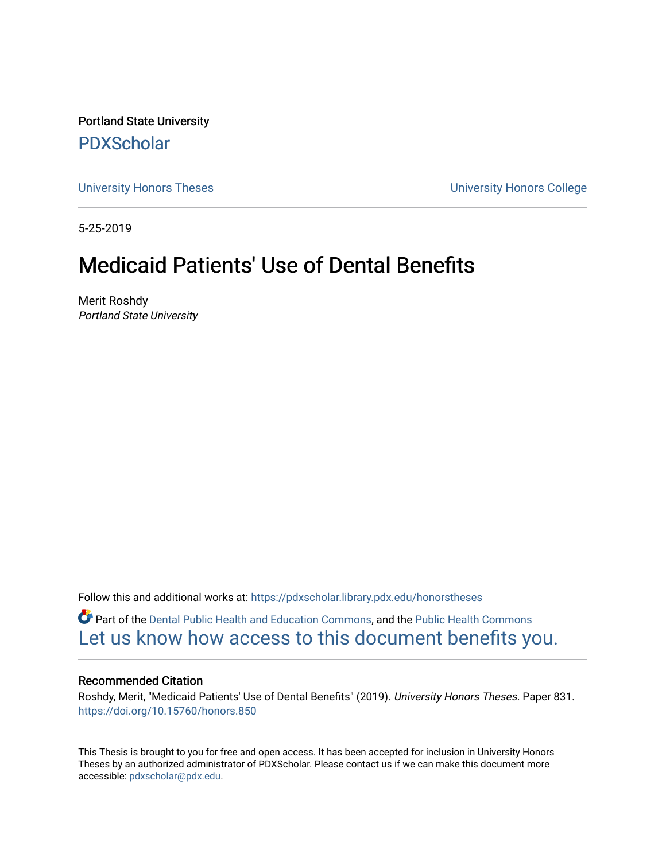Portland State University [PDXScholar](https://pdxscholar.library.pdx.edu/)

[University Honors Theses](https://pdxscholar.library.pdx.edu/honorstheses) [University Honors College](https://pdxscholar.library.pdx.edu/honors) 

5-25-2019

# Medicaid Patients' Use of Dental Benefits

Merit Roshdy Portland State University

Follow this and additional works at: [https://pdxscholar.library.pdx.edu/honorstheses](https://pdxscholar.library.pdx.edu/honorstheses?utm_source=pdxscholar.library.pdx.edu%2Fhonorstheses%2F831&utm_medium=PDF&utm_campaign=PDFCoverPages) 

Part of the [Dental Public Health and Education Commons,](http://network.bepress.com/hgg/discipline/653?utm_source=pdxscholar.library.pdx.edu%2Fhonorstheses%2F831&utm_medium=PDF&utm_campaign=PDFCoverPages) and the [Public Health Commons](http://network.bepress.com/hgg/discipline/738?utm_source=pdxscholar.library.pdx.edu%2Fhonorstheses%2F831&utm_medium=PDF&utm_campaign=PDFCoverPages) [Let us know how access to this document benefits you.](http://library.pdx.edu/services/pdxscholar-services/pdxscholar-feedback/) 

#### Recommended Citation

Roshdy, Merit, "Medicaid Patients' Use of Dental Benefits" (2019). University Honors Theses. Paper 831. <https://doi.org/10.15760/honors.850>

This Thesis is brought to you for free and open access. It has been accepted for inclusion in University Honors Theses by an authorized administrator of PDXScholar. Please contact us if we can make this document more accessible: [pdxscholar@pdx.edu.](mailto:pdxscholar@pdx.edu)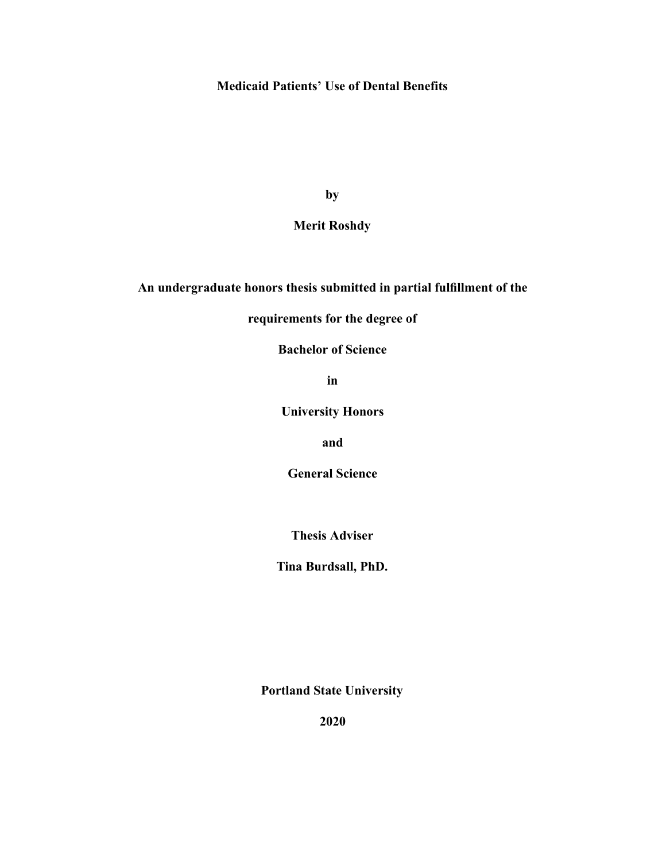# **Medicaid Patients' Use of Dental Benefits**

**by** 

# **Merit Roshdy**

# **An undergraduate honors thesis submitted in partial fulfillment of the**

# **requirements for the degree of**

**Bachelor of Science** 

**in** 

**University Honors** 

**and** 

**General Science** 

**Thesis Adviser** 

**Tina Burdsall, PhD.** 

**Portland State University** 

**2020**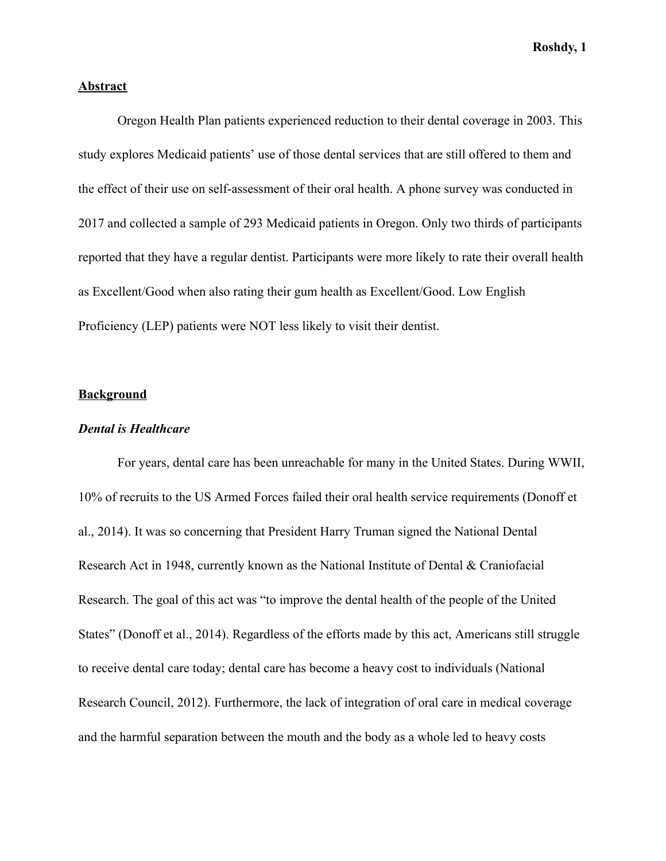# **Abstract**

Oregon Health Plan patients experienced reduction to their dental coverage in 2003. This study explores Medicaid patients' use of those dental services that are still offered to them and the effect of their use on self-assessment of their oral health. A phone survey was conducted in 2017 and collected a sample of 293 Medicaid patients in Oregon. Only two thirds of participants reported that they have a regular dentist. Participants were more likely to rate their overall health as Excellent/Good when also rating their gum health as Excellent/Good. Low English Proficiency (LEP) patients were NOT less likely to visit their dentist.

# **Background**

#### *Dental is Healthcare*

For years, dental care has been unreachable for many in the United States. During WWII, 10% of recruits to the US Armed Forces failed their oral health service requirements (Donoff et al., 2014). It was so concerning that President Harry Truman signed the National Dental Research Act in 1948, currently known as the National Institute of Dental & Craniofacial Research. The goal of this act was "to improve the dental health of the people of the United States" (Donoff et al., 2014). Regardless of the efforts made by this act, Americans still struggle to receive dental care today; dental care has become a heavy cost to individuals (National Research Council, 2012). Furthermore, the lack of integration of oral care in medical coverage and the harmful separation between the mouth and the body as a whole led to heavy costs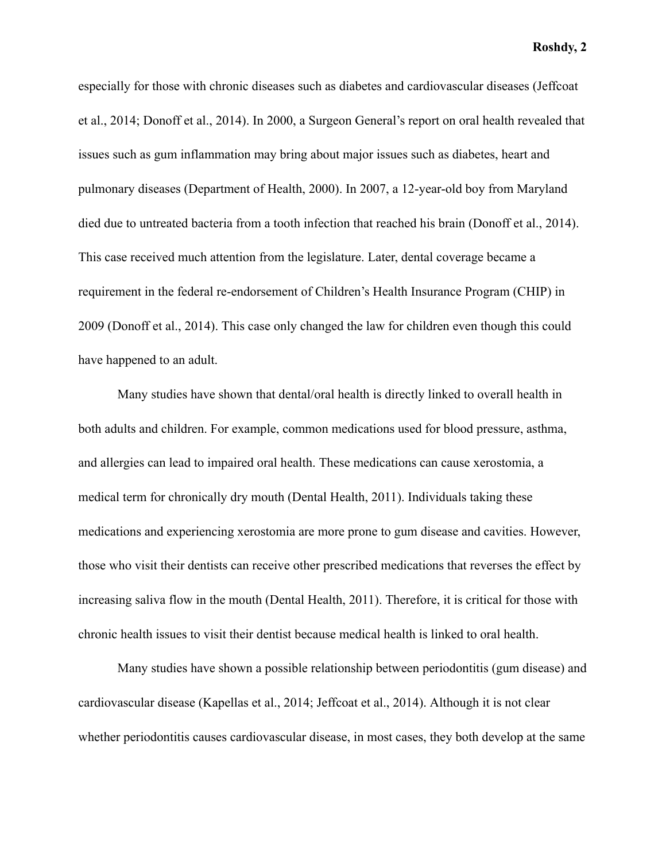especially for those with chronic diseases such as diabetes and cardiovascular diseases (Jeffcoat et al., 2014; Donoff et al., 2014). In 2000, a Surgeon General's report on oral health revealed that issues such as gum inflammation may bring about major issues such as diabetes, heart and pulmonary diseases (Department of Health, 2000). In 2007, a 12-year-old boy from Maryland died due to untreated bacteria from a tooth infection that reached his brain (Donoff et al., 2014). This case received much attention from the legislature. Later, dental coverage became a requirement in the federal re-endorsement of Children's Health Insurance Program (CHIP) in 2009 (Donoff et al., 2014). This case only changed the law for children even though this could have happened to an adult.

Many studies have shown that dental/oral health is directly linked to overall health in both adults and children. For example, common medications used for blood pressure, asthma, and allergies can lead to impaired oral health. These medications can cause xerostomia, a medical term for chronically dry mouth (Dental Health, 2011). Individuals taking these medications and experiencing xerostomia are more prone to gum disease and cavities. However, those who visit their dentists can receive other prescribed medications that reverses the effect by increasing saliva flow in the mouth (Dental Health, 2011). Therefore, it is critical for those with chronic health issues to visit their dentist because medical health is linked to oral health.

Many studies have shown a possible relationship between periodontitis (gum disease) and cardiovascular disease (Kapellas et al., 2014; Jeffcoat et al., 2014). Although it is not clear whether periodontitis causes cardiovascular disease, in most cases, they both develop at the same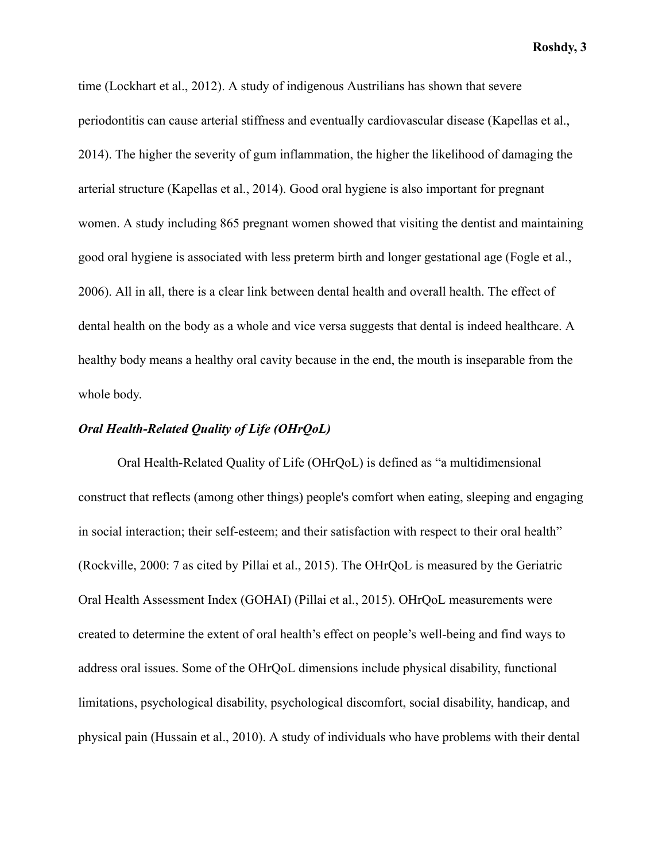time (Lockhart et al., 2012). A study of indigenous Austrilians has shown that severe periodontitis can cause arterial stiffness and eventually cardiovascular disease (Kapellas et al., 2014). The higher the severity of gum inflammation, the higher the likelihood of damaging the arterial structure (Kapellas et al., 2014). Good oral hygiene is also important for pregnant women. A study including 865 pregnant women showed that visiting the dentist and maintaining good oral hygiene is associated with less preterm birth and longer gestational age (Fogle et al., 2006). All in all, there is a clear link between dental health and overall health. The effect of dental health on the body as a whole and vice versa suggests that dental is indeed healthcare. A healthy body means a healthy oral cavity because in the end, the mouth is inseparable from the whole body.

# *Oral Health-Related Quality of Life (OHrQoL)*

Oral Health-Related Quality of Life (OHrQoL) is defined as "a multidimensional construct that reflects (among other things) people's comfort when eating, sleeping and engaging in social interaction; their self-esteem; and their satisfaction with respect to their oral health" (Rockville, 2000: 7 as cited by Pillai et al., 2015 ). The OHrQoL is measured by the Geriatric Oral Health Assessment Index (GOHAI) ( Pillai et al., 2015 ). OHrQoL measurements were created to determine the extent of oral health's effect on people's well-being and find ways to address oral issues. Some of the OHrQoL dimensions include physical disability, functional limitations, psychological disability, psychological discomfort, social disability, handicap, and physical pain (Hussain et al., 2010). A study of individuals who have problems with their dental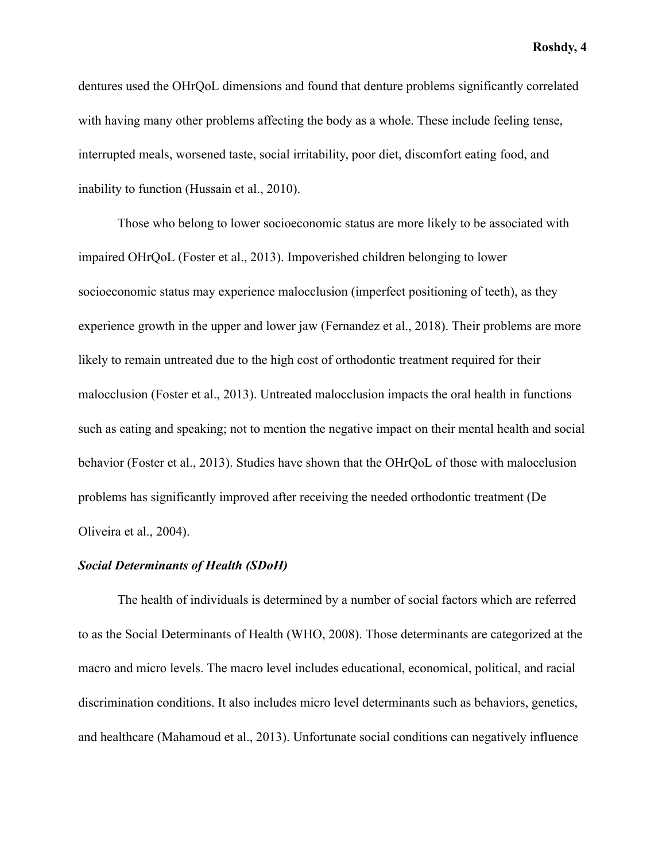dentures used the OHrQoL dimensions and found that denture problems significantly correlated with having many other problems affecting the body as a whole. These include feeling tense, interrupted meals, worsened taste, social irritability, poor diet, discomfort eating food, and inability to function (Hussain et al., 2010).

Those who belong to lower socioeconomic status are more likely to be associated with impaired OHrQoL (Foster et al., 2013). Impoverished children belonging to lower socioeconomic status may experience malocclusion (imperfect positioning of teeth), as they experience growth in the upper and lower jaw (Fernandez et al., 2018). Their problems are more likely to remain untreated due to the high cost of orthodontic treatment required for their malocclusion (Foster et al., 2013). Untreated malocclusion impacts the oral health in functions such as eating and speaking; not to mention the negative impact on their mental health and social behavior (Foster et al., 2013). Studies have shown that the OHrQoL of those with malocclusion problems has significantly improved after receiving the needed orthodontic treatment (De Oliveira et al., 2004).

# *Social Determinants of Health (SDoH)*

The health of individuals is determined by a number of social factors which are referred to as the Social Determinants of Health (WHO, 2008). Those determinants are categorized at the macro and micro levels. The macro level includes educational, economical, political, and racial discrimination conditions. It also includes micro level determinants such as behaviors, genetics, and healthcare (Mahamoud et al., 2013). Unfortunate social conditions can negatively influence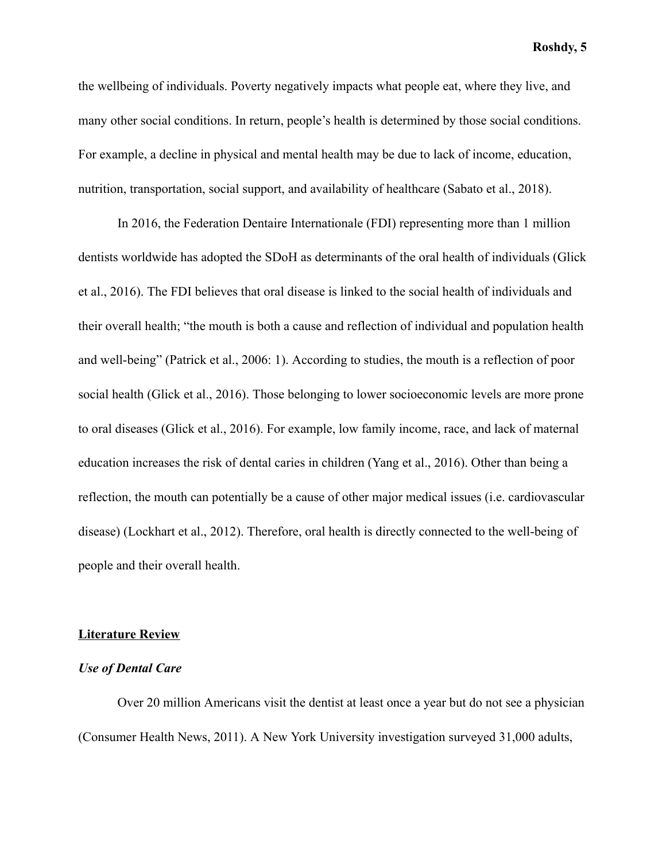the wellbeing of individuals. Poverty negatively impacts what people eat, where they live, and many other social conditions. In return, people's health is determined by those social conditions. For example, a decline in physical and mental health may be due to lack of income, education, nutrition, transportation, social support, and availability of healthcare (Sabato et al., 2018).

In 2016, the Federation Dentaire Internationale (FDI) representing more than 1 million dentists worldwide has adopted the SDoH as determinants of the oral health of individuals (Glick et al., 2016). The FDI believes that oral disease is linked to the social health of individuals and their overall health; "the mouth is both a cause and reflection of individual and population health and well-being" (Patrick et al., 2006: 1). According to studies, the mouth is a reflection of poor social health (Glick et al., 2016). Those belonging to lower socioeconomic levels are more prone to oral diseases (Glick et al., 2016). For example, low family income, race, and lack of maternal education increases the risk of dental caries in children (Yang et al., 2016). Other than being a reflection, the mouth can potentially be a cause of other major medical issues (i.e. cardiovascular disease) (Lockhart et al., 2012) . Therefore, oral health is directly connected to the well-being of people and their overall health.

#### **Literature Review**

#### *Use of Dental Care*

Over 20 million Americans visit the dentist at least once a year but do not see a physician (Consumer Health News, 2011). A New York University investigation surveyed 31,000 adults,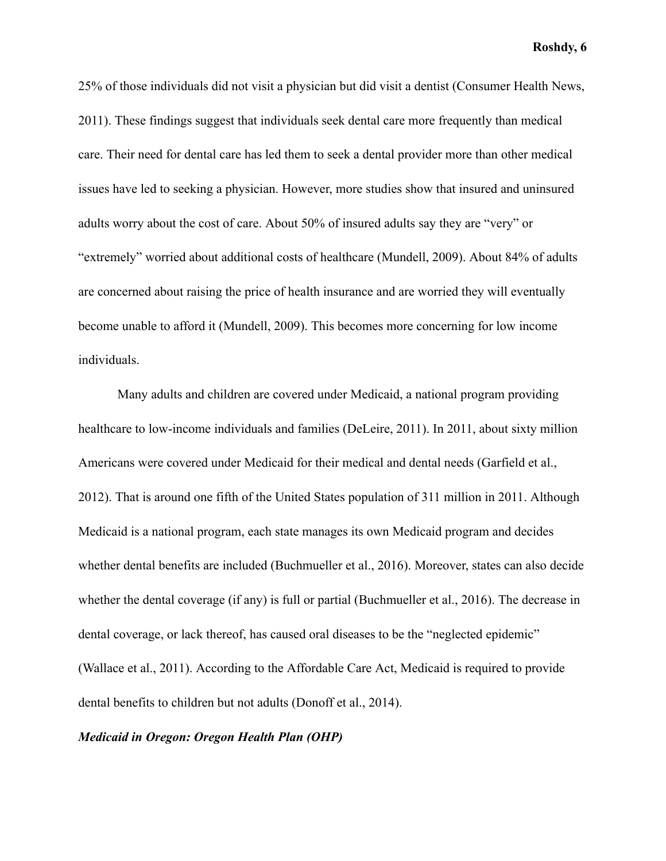25% of those individuals did not visit a physician but did visit a dentist (Consumer Health News, 2011). These findings suggest that individuals seek dental care more frequently than medical care. Their need for dental care has led them to seek a dental provider more than other medical issues have led to seeking a physician. However, more studies show that insured and uninsured adults worry about the cost of care. About 50% of insured adults say they are "very" or "extremely" worried about additional costs of healthcare (Mundell, 2009). About 84% of adults are concerned about raising the price of health insurance and are worried they will eventually become unable to afford it (Mundell, 2009). This becomes more concerning for low income individuals.

Many adults and children are covered under Medicaid, a national program providing healthcare to low-income individuals and families (DeLeire, 2011). In 2011, about sixty million Americans were covered under Medicaid for their medical and dental needs (Garfield et al., 2012). That is around one fifth of the United States population of 311 million in 2011. Although Medicaid is a national program, each state manages its own Medicaid program and decides whether dental benefits are included (Buchmueller et al., 2016). Moreover, states can also decide whether the dental coverage (if any) is full or partial (Buchmueller et al., 2016). The decrease in dental coverage, or lack thereof, has caused oral diseases to be the "neglected epidemic" (Wallace et al., 2011). According to the Affordable Care Act, Medicaid is required to provide dental benefits to children but not adults (Donoff et al., 2014).

# *Medicaid in Oregon: Oregon Health Plan (OHP)*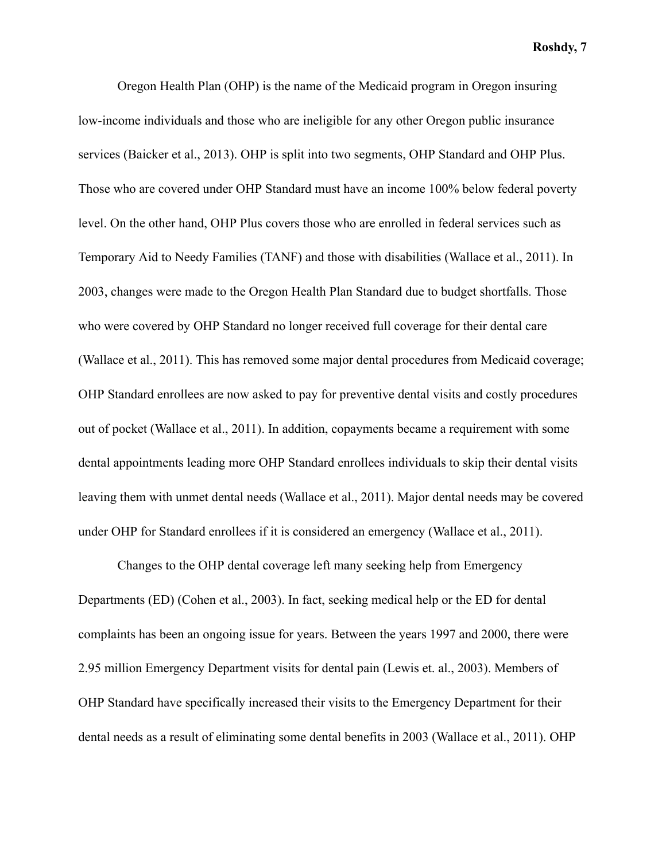Oregon Health Plan (OHP) is the name of the Medicaid program in Oregon insuring low-income individuals and those who are ineligible for any other Oregon public insurance services (Baicker et al., 2013). OHP is split into two segments, OHP Standard and OHP Plus. Those who are covered under OHP Standard must have an income 100% below federal poverty level. On the other hand, OHP Plus covers those who are enrolled in federal services such as Temporary Aid to Needy Families (TANF) and those with disabilities (Wallace et al., 2011). In 2003, changes were made to the Oregon Health Plan Standard due to budget shortfalls. Those who were covered by OHP Standard no longer received full coverage for their dental care (Wallace et al., 2011). This has removed some major dental procedures from Medicaid coverage; OHP Standard enrollees are now asked to pay for preventive dental visits and costly procedures out of pocket (Wallace et al., 2011). In addition, copayments became a requirement with some dental appointments leading more OHP Standard enrollees individuals to skip their dental visits leaving them with unmet dental needs (Wallace et al., 2011). Major dental needs may be covered under OHP for Standard enrollees if it is considered an emergency (Wallace et al., 2011).

Changes to the OHP dental coverage left many seeking help from Emergency Departments (ED) (Cohen et al., 2003). In fact, seeking medical help or the ED for dental complaints has been an ongoing issue for years. Between the years 1997 and 2000, there were 2.95 million Emergency Department visits for dental pain (Lewis et. al., 2003). Members of OHP Standard have specifically increased their visits to the Emergency Department for their dental needs as a result of eliminating some dental benefits in 2003 (Wallace et al., 2011). OHP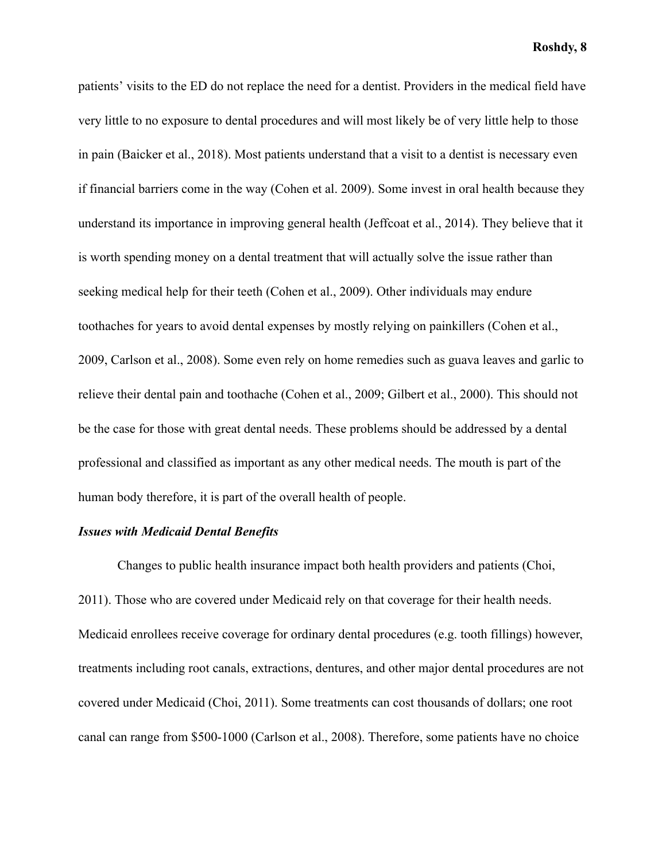patients' visits to the ED do not replace the need for a dentist. Providers in the medical field have very little to no exposure to dental procedures and will most likely be of very little help to those in pain (Baicker et al., 2018). Most patients understand that a visit to a dentist is necessary even if financial barriers come in the way (Cohen et al. 2009). Some invest in oral health because they understand its importance in improving general health (Jeffcoat et al., 2014). They believe that it is worth spending money on a dental treatment that will actually solve the issue rather than seeking medical help for their teeth (Cohen et al., 2009). Other individuals may endure toothaches for years to avoid dental expenses by mostly relying on painkillers (Cohen et al., 2009, Carlson et al., 2008). Some even rely on home remedies such as guava leaves and garlic to relieve their dental pain and toothache (Cohen et al., 2009; Gilbert et al., 2000). This should not be the case for those with great dental needs. These problems should be addressed by a dental professional and classified as important as any other medical needs. The mouth is part of the human body therefore, it is part of the overall health of people.

#### *Issues with Medicaid Dental Benefits*

Changes to public health insurance impact both health providers and patients (Choi, 2011). Those who are covered under Medicaid rely on that coverage for their health needs. Medicaid enrollees receive coverage for ordinary dental procedures (e.g. tooth fillings) however, treatments including root canals, extractions, dentures, and other major dental procedures are not covered under Medicaid (Choi, 2011). Some treatments can cost thousands of dollars; one root canal can range from \$500-1000 (Carlson et al., 2008). Therefore, some patients have no choice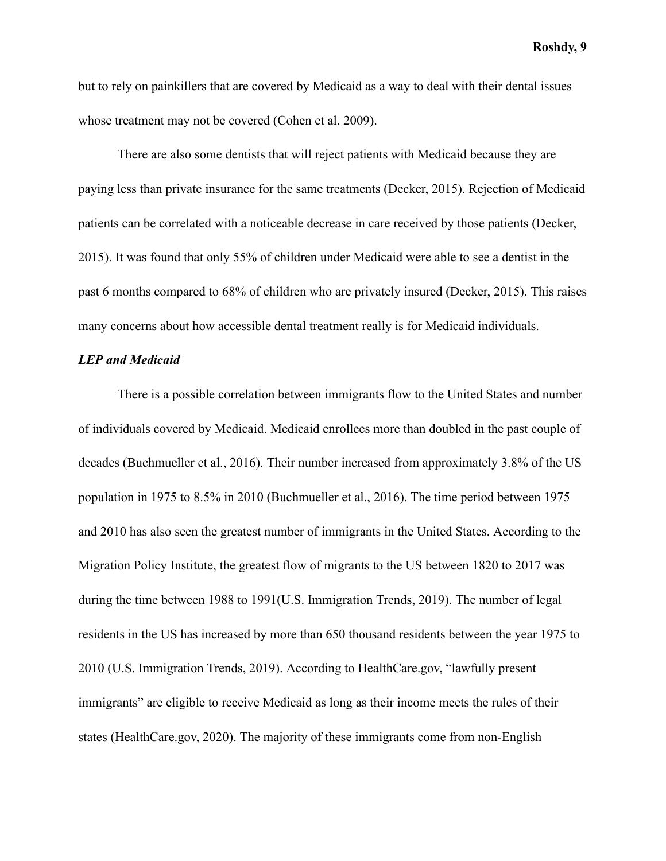but to rely on painkillers that are covered by Medicaid as a way to deal with their dental issues whose treatment may not be covered (Cohen et al. 2009).

There are also some dentists that will reject patients with Medicaid because they are paying less than private insurance for the same treatments (Decker, 2015). Rejection of Medicaid patients can be correlated with a noticeable decrease in care received by those patients (Decker, 2015). It was found that only 55% of children under Medicaid were able to see a dentist in the past 6 months compared to 68% of children who are privately insured (Decker, 2015). This raises many concerns about how accessible dental treatment really is for Medicaid individuals.

# *LEP and Medicaid*

There is a possible correlation between immigrants flow to the United States and number of individuals covered by Medicaid. Medicaid enrollees more than doubled in the past couple of decades (Buchmueller et al., 2016). Their number increased from approximately 3.8% of the US population in 1975 to 8.5% in 2010 (Buchmueller et al., 2016). The time period between 1975 and 2010 has also seen the greatest number of immigrants in the United States. According to the Migration Policy Institute, the greatest flow of migrants to the US between 1820 to 2017 was during the time between 1988 to 1991(U.S. Immigration Trends, 2019). The number of legal residents in the US has increased by more than 650 thousand residents between the year 1975 to 2010 (U.S. Immigration Trends, 2019). According to HealthCare.gov, "lawfully present immigrants" are eligible to receive Medicaid as long as their income meets the rules of their states (HealthCare.gov, 2020). The majority of these immigrants come from non-English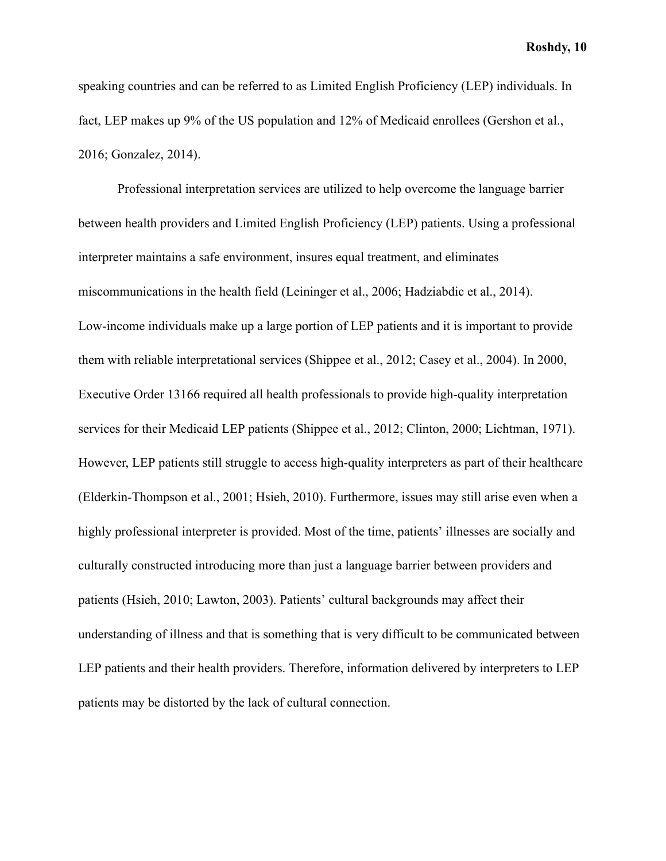speaking countries and can be referred to as Limited English Proficiency (LEP) individuals. In fact, LEP makes up 9% of the US population and 12% of Medicaid enrollees (Gershon et al., 2016; Gonzalez, 2014).

Professional interpretation services are utilized to help overcome the language barrier between health providers and Limited English Proficiency (LEP) patients. Using a professional interpreter maintains a safe environment, insures equal treatment, and eliminates miscommunications in the health field (Leininger et al., 2006; Hadziabdic et al., 2014). Low-income individuals make up a large portion of LEP patients and it is important to provide them with reliable interpretational services (Shippee et al., 2012; Casey et al., 2004). In 2000, Executive Order 13166 required all health professionals to provide high-quality interpretation services for their Medicaid LEP patients (Shippee et al., 2012; Clinton, 2000; Lichtman, 1971). However, LEP patients still struggle to access high-quality interpreters as part of their healthcare (Elderkin-Thompson et al., 2001; Hsieh, 2010). Furthermore, issues may still arise even when a highly professional interpreter is provided. Most of the time, patients' illnesses are socially and culturally constructed introducing more than just a language barrier between providers and patients (Hsieh, 2010; Lawton, 2003). Patients' cultural backgrounds may affect their understanding of illness and that is something that is very difficult to be communicated between LEP patients and their health providers. Therefore, information delivered by interpreters to LEP patients may be distorted by the lack of cultural connection.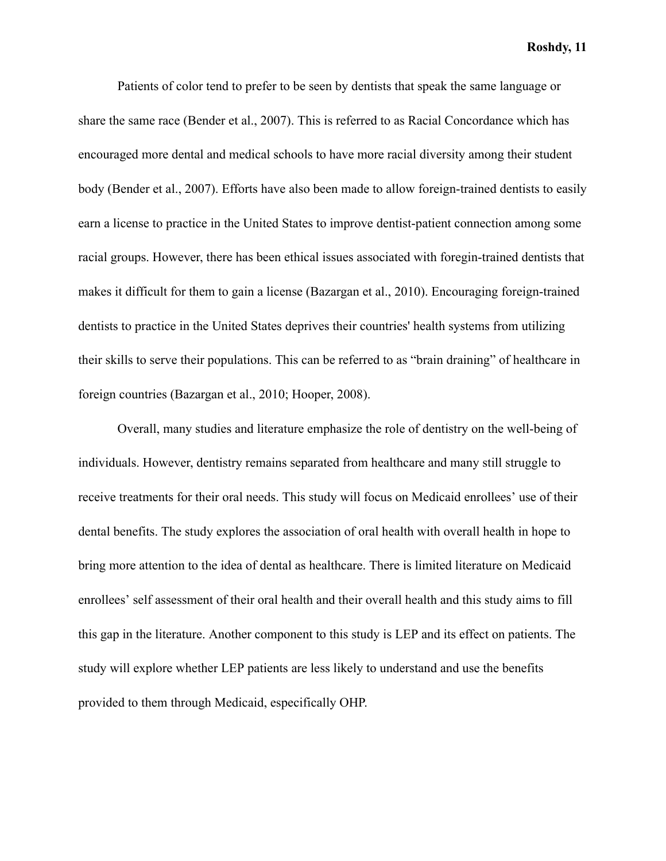Patients of color tend to prefer to be seen by dentists that speak the same language or share the same race (Bender et al., 2007). This is referred to as Racial Concordance which has encouraged more dental and medical schools to have more racial diversity among their student body (Bender et al., 2007). Efforts have also been made to allow foreign-trained dentists to easily earn a license to practice in the United States to improve dentist-patient connection among some racial groups. However, there has been ethical issues associated with foregin-trained dentists that makes it difficult for them to gain a license (Bazargan et al., 2010). Encouraging foreign-trained dentists to practice in the United States deprives their countries' health systems from utilizing their skills to serve their populations. This can be referred to as "brain draining" of healthcare in foreign countries (Bazargan et al., 2010; Hooper, 2008).

Overall, many studies and literature emphasize the role of dentistry on the well-being of individuals. However, dentistry remains separated from healthcare and many still struggle to receive treatments for their oral needs. This study will focus on Medicaid enrollees' use of their dental benefits. The study explores the association of oral health with overall health in hope to bring more attention to the idea of dental as healthcare. There is limited literature on Medicaid enrollees' self assessment of their oral health and their overall health and this study aims to fill this gap in the literature. Another component to this study is LEP and its effect on patients. The study will explore whether LEP patients are less likely to understand and use the benefits provided to them through Medicaid, especifically OHP.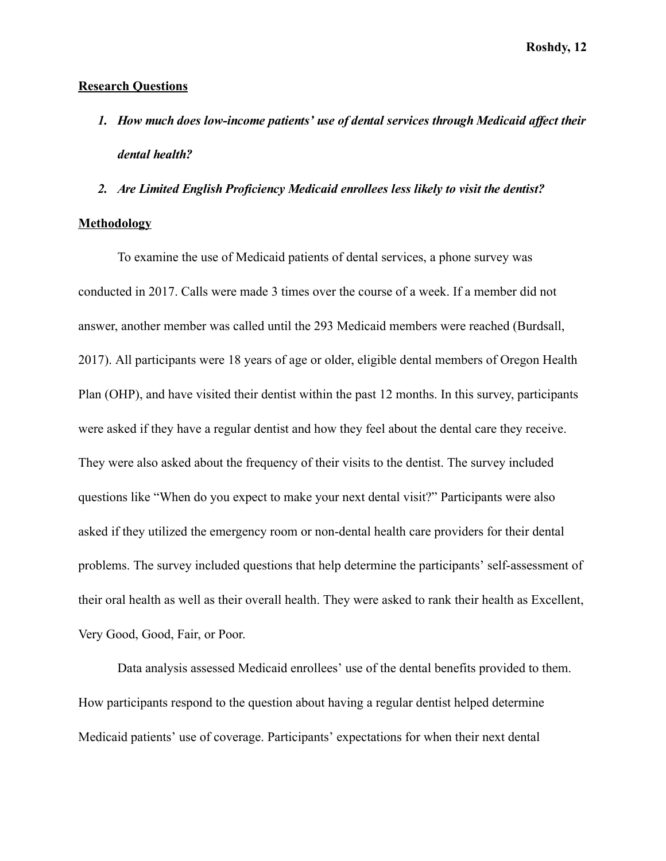#### **Research Questions**

- *1. How much does low-income patients' use of dental services through Medicaid affect their dental health?*
- *2. Are Limited English Proficiency Medicaid enrollees less likely to visit the dentist?*

### **Methodology**

To examine the use of Medicaid patients of dental services, a phone survey was conducted in 2017. Calls were made 3 times over the course of a week. If a member did not answer, another member was called until the 293 Medicaid members were reached (Burdsall, 2017). All participants were 18 years of age or older, eligible dental members of Oregon Health Plan (OHP), and have visited their dentist within the past 12 months. In this survey, participants were asked if they have a regular dentist and how they feel about the dental care they receive. They were also asked about the frequency of their visits to the dentist. The survey included questions like "When do you expect to make your next dental visit?" Participants were also asked if they utilized the emergency room or non-dental health care providers for their dental problems. The survey included questions that help determine the participants' self-assessment of their oral health as well as their overall health. They were asked to rank their health as Excellent, Very Good, Good, Fair, or Poor.

 Data analysis assessed Medicaid enrollees' use of the dental benefits provided to them. How participants respond to the question about having a regular dentist helped determine Medicaid patients' use of coverage. Participants' expectations for when their next dental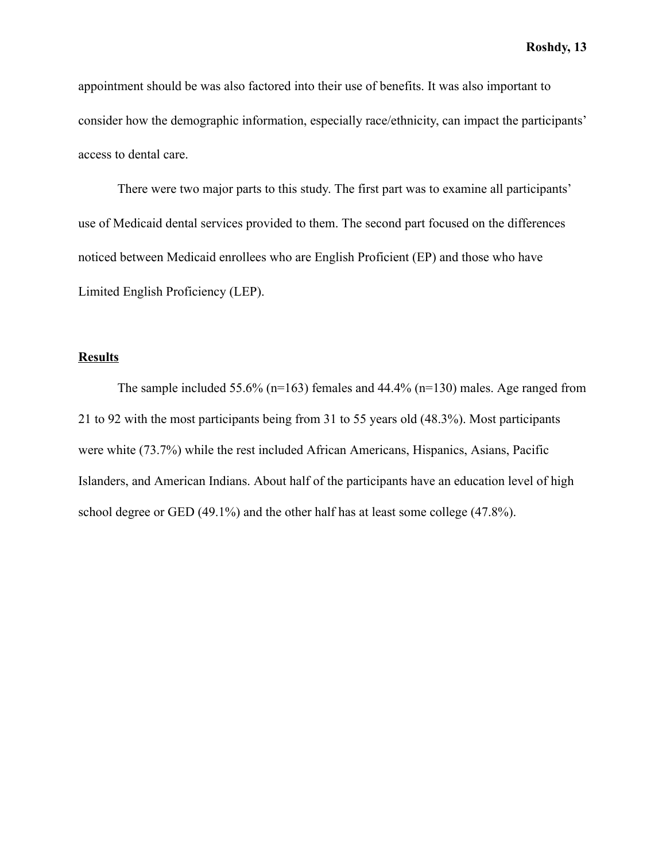appointment should be was also factored into their use of benefits. It was also important to consider how the demographic information, especially race/ethnicity, can impact the participants' access to dental care.

There were two major parts to this study. The first part was to examine all participants' use of Medicaid dental services provided to them. The second part focused on the differences noticed between Medicaid enrollees who are English Proficient (EP) and those who have Limited English Proficiency (LEP).

# **Results**

The sample included 55.6% ( $n=163$ ) females and 44.4% ( $n=130$ ) males. Age ranged from 21 to 92 with the most participants being from 31 to 55 years old (48.3%). Most participants were white (73.7%) while the rest included African Americans, Hispanics, Asians, Pacific Islanders, and American Indians. About half of the participants have an education level of high school degree or GED (49.1%) and the other half has at least some college (47.8%).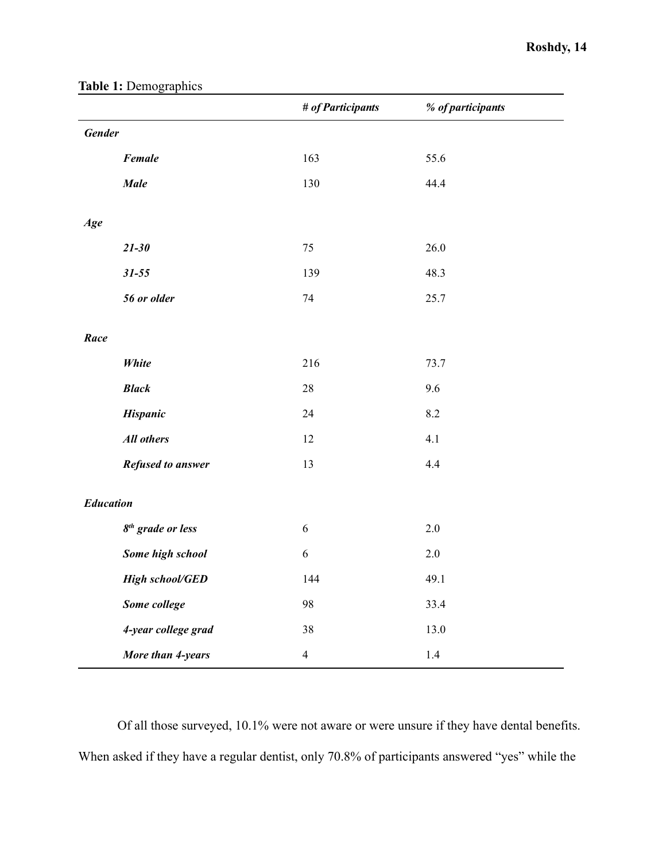|               |                               | # of Participants | % of participants |  |  |
|---------------|-------------------------------|-------------------|-------------------|--|--|
| <b>Gender</b> |                               |                   |                   |  |  |
|               | Female                        | 163               | 55.6              |  |  |
|               | <b>Male</b>                   | 130               | 44.4              |  |  |
|               |                               |                   |                   |  |  |
| Age           |                               |                   |                   |  |  |
|               | $21 - 30$                     | 75                | 26.0              |  |  |
|               | $31 - 55$                     | 139               | 48.3              |  |  |
|               | 56 or older                   | 74                | 25.7              |  |  |
|               |                               |                   |                   |  |  |
| Race          |                               |                   |                   |  |  |
|               | White                         | 216               | 73.7              |  |  |
|               | <b>Black</b>                  | $28\,$            | 9.6               |  |  |
|               | <b>Hispanic</b>               | 24                | 8.2               |  |  |
|               | <b>All others</b>             | 12                | 4.1               |  |  |
|               | <b>Refused to answer</b>      | 13                | 4.4               |  |  |
|               |                               |                   |                   |  |  |
|               | <b>Education</b>              |                   |                   |  |  |
|               | 8 <sup>th</sup> grade or less | $\sqrt{6}$        | $2.0\,$           |  |  |
|               | Some high school              | $\sqrt{6}$        | $2.0$             |  |  |
|               | <b>High school/GED</b>        | 144               | 49.1              |  |  |
|               | Some college                  | 98                | 33.4              |  |  |
|               | 4-year college grad           | 38                | 13.0              |  |  |
|               | More than 4-years             | $\overline{4}$    | $1.4\,$           |  |  |

# Table 1: Demographics

Of all those surveyed, 10.1% were not aware or were unsure if they have dental benefits. When asked if they have a regular dentist, only 70.8% of participants answered "yes" while the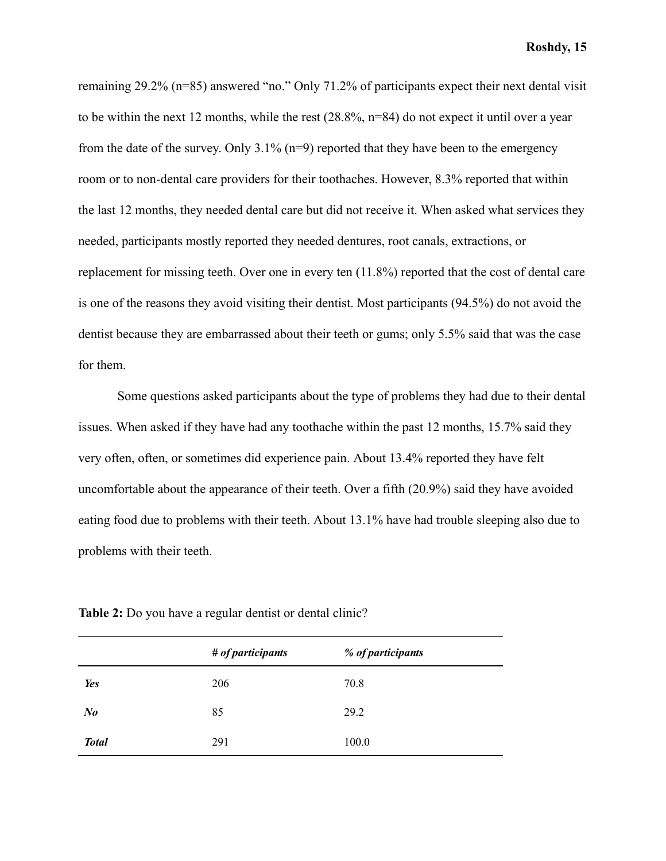remaining 29.2% (n=85) answered "no." Only 71.2% of participants expect their next dental visit to be within the next 12 months, while the rest (28.8%, n=84) do not expect it until over a year from the date of the survey. Only  $3.1\%$  (n=9) reported that they have been to the emergency room or to non-dental care providers for their toothaches. However, 8.3% reported that within the last 12 months, they needed dental care but did not receive it. When asked what services they needed, participants mostly reported they needed dentures, root canals, extractions, or replacement for missing teeth. Over one in every ten (11.8%) reported that the cost of dental care is one of the reasons they avoid visiting their dentist. Most participants (94.5%) do not avoid the dentist because they are embarrassed about their teeth or gums; only 5.5% said that was the case for them.

Some questions asked participants about the type of problems they had due to their dental issues. When asked if they have had any toothache within the past 12 months, 15.7% said they very often, often, or sometimes did experience pain. About 13.4% reported they have felt uncomfortable about the appearance of their teeth. Over a fifth (20.9%) said they have avoided eating food due to problems with their teeth. About 13.1% have had trouble sleeping also due to problems with their teeth.

|              | $# of$ participants | % of participants |
|--------------|---------------------|-------------------|
| <b>Yes</b>   | 206                 | 70.8              |
| $N_{0}$      | 85                  | 29.2              |
| <b>Total</b> | 291                 | 100.0             |

**Table 2:** Do you have a regular dentist or dental clinic?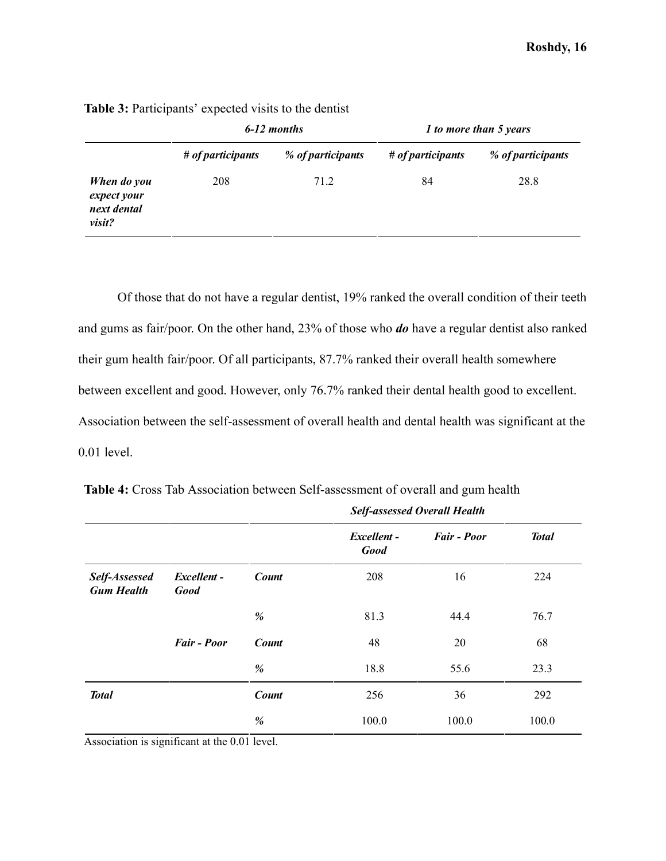|                                                     | 6-12 months               |                   | 1 to more than 5 years    |                   |
|-----------------------------------------------------|---------------------------|-------------------|---------------------------|-------------------|
|                                                     | $# of$ <i>articipants</i> | % of participants | $# of$ <i>articipants</i> | % of participants |
| When do you<br>expect your<br>next dental<br>visit? | 208                       | 71.2              | 84                        | 28.8              |

**Table 3:** Participants' expected visits to the dentist

Of those that do not have a regular dentist, 19% ranked the overall condition of their teeth and gums as fair/poor. On the other hand, 23% of those who *do* have a regular dentist also ranked their gum health fair/poor. Of all participants, 87.7% ranked their overall health somewhere between excellent and good. However, only 76.7% ranked their dental health good to excellent. Association between the self-assessment of overall health and dental health was significant at the 0.01 level.

|                                    |                            |              | <b>Self-assessed Overall Health</b> |                    |              |
|------------------------------------|----------------------------|--------------|-------------------------------------|--------------------|--------------|
|                                    |                            |              | Excellent -<br><b>Good</b>          | <b>Fair - Poor</b> | <b>Total</b> |
| Self-Assessed<br><b>Gum Health</b> | Excellent -<br><b>Good</b> | <b>Count</b> | 208                                 | 16                 | 224          |
|                                    |                            | %            | 81.3                                | 44.4               | 76.7         |
|                                    | <b>Fair - Poor</b>         | <b>Count</b> | 48                                  | 20                 | 68           |
|                                    |                            | %            | 18.8                                | 55.6               | 23.3         |
| <b>Total</b>                       |                            | <b>Count</b> | 256                                 | 36                 | 292          |
|                                    |                            | %            | 100.0                               | 100.0              | 100.0        |

**Table 4:** Cross Tab Association between Self-assessment of overall and gum health

Association is significant at the 0.01 level.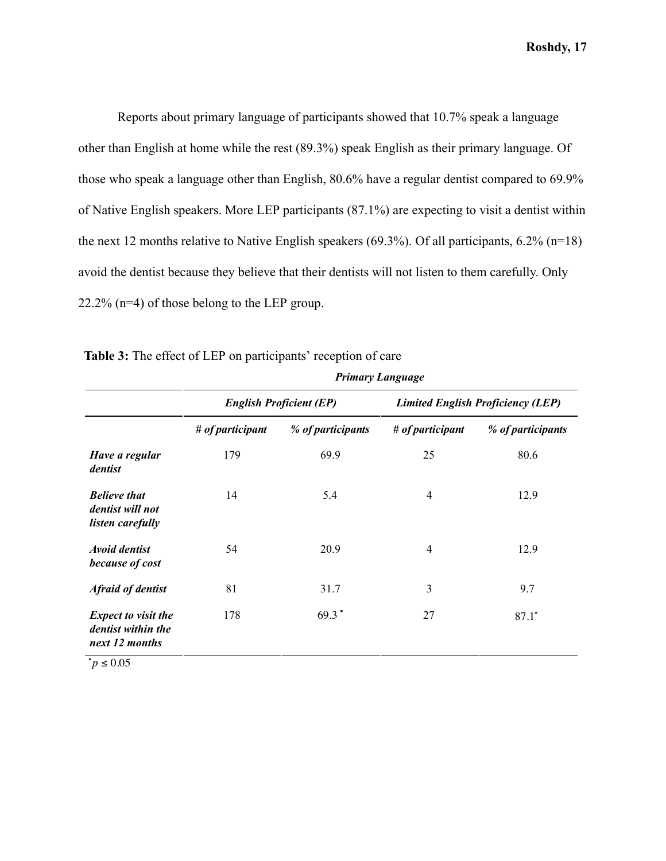Reports about primary language of participants showed that 10.7% speak a language other than English at home while the rest (89.3%) speak English as their primary language. Of those who speak a language other than English, 80.6% have a regular dentist compared to 69.9% of Native English speakers. More LEP participants (87.1%) are expecting to visit a dentist within the next 12 months relative to Native English speakers (69.3%). Of all participants, 6.2% (n=18) avoid the dentist because they believe that their dentists will not listen to them carefully. Only 22.2% (n=4) of those belong to the LEP group.

| <b>Primary Language</b>        |                   |                                          |                   |
|--------------------------------|-------------------|------------------------------------------|-------------------|
| <b>English Proficient (EP)</b> |                   | <b>Limited English Proficiency (LEP)</b> |                   |
| $# of$ <i>articipant</i>       | % of participants | $# of$ <i>articipant</i>                 | % of participants |
| 179                            | 69.9              | 25                                       | 80.6              |
| 14                             | 5.4               | 4                                        | 12.9              |
| 54                             | 20.9              | 4                                        | 12.9              |
| 81                             | 31.7              | 3                                        | 9.7               |
| 178                            | $69.3*$           | 27                                       | $87.1*$           |
|                                |                   |                                          |                   |

**Table 3:** The effect of LEP on participants' reception of care

 $^*p$  ≤ 0.05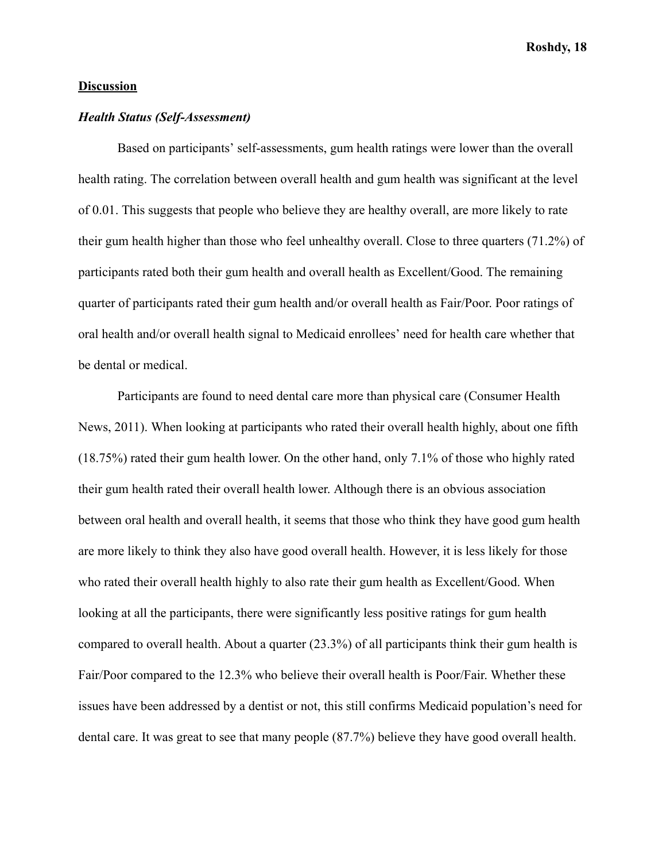# **Discussion**

# *Health Status (Self-Assessment)*

Based on participants' self-assessments, gum health ratings were lower than the overall health rating. The correlation between overall health and gum health was significant at the level of 0.01. This suggests that people who believe they are healthy overall, are more likely to rate their gum health higher than those who feel unhealthy overall. Close to three quarters (71.2%) of participants rated both their gum health and overall health as Excellent/Good. The remaining quarter of participants rated their gum health and/or overall health as Fair/Poor. Poor ratings of oral health and/or overall health signal to Medicaid enrollees' need for health care whether that be dental or medical.

Participants are found to need dental care more than physical care (Consumer Health News, 2011). When looking at participants who rated their overall health highly, about one fifth (18.75%) rated their gum health lower. On the other hand, only 7.1% of those who highly rated their gum health rated their overall health lower. Although there is an obvious association between oral health and overall health, it seems that those who think they have good gum health are more likely to think they also have good overall health. However, it is less likely for those who rated their overall health highly to also rate their gum health as Excellent/Good. When looking at all the participants, there were significantly less positive ratings for gum health compared to overall health. About a quarter (23.3%) of all participants think their gum health is Fair/Poor compared to the 12.3% who believe their overall health is Poor/Fair. Whether these issues have been addressed by a dentist or not, this still confirms Medicaid population's need for dental care. It was great to see that many people (87.7%) believe they have good overall health.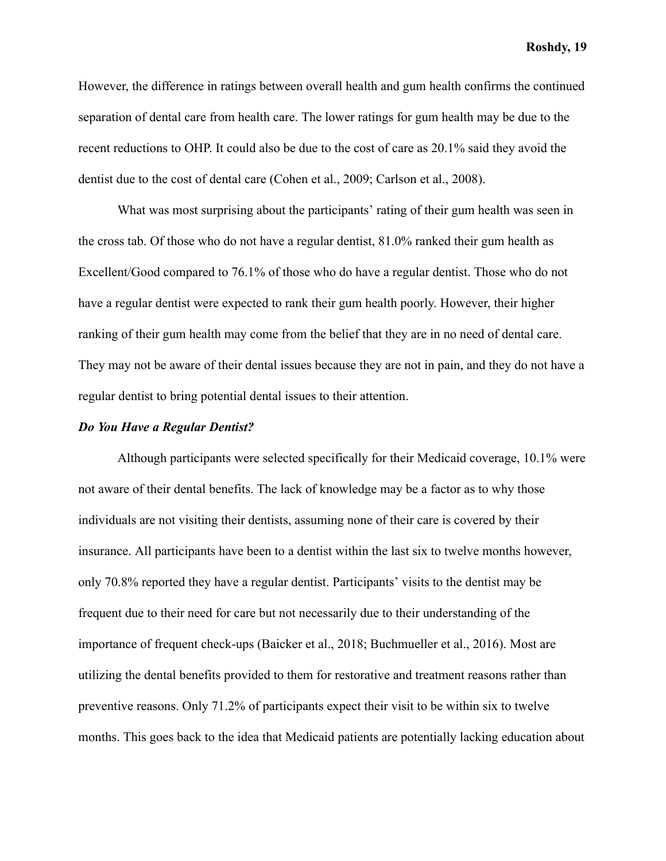However, the difference in ratings between overall health and gum health confirms the continued separation of dental care from health care. The lower ratings for gum health may be due to the recent reductions to OHP. It could also be due to the cost of care as 20.1% said they avoid the dentist due to the cost of dental care (Cohen et al., 2009; Carlson et al., 2008).

What was most surprising about the participants' rating of their gum health was seen in the cross tab. Of those who do not have a regular dentist, 81.0% ranked their gum health as Excellent/Good compared to 76.1% of those who do have a regular dentist. Those who do not have a regular dentist were expected to rank their gum health poorly. However, their higher ranking of their gum health may come from the belief that they are in no need of dental care. They may not be aware of their dental issues because they are not in pain, and they do not have a regular dentist to bring potential dental issues to their attention.

# *Do You Have a Regular Dentist?*

Although participants were selected specifically for their Medicaid coverage, 10.1% were not aware of their dental benefits. The lack of knowledge may be a factor as to why those individuals are not visiting their dentists, assuming none of their care is covered by their insurance. All participants have been to a dentist within the last six to twelve months however, only 70.8% reported they have a regular dentist. Participants' visits to the dentist may be frequent due to their need for care but not necessarily due to their understanding of the importance of frequent check-ups (Baicker et al., 2018; Buchmueller et al., 2016). Most are utilizing the dental benefits provided to them for restorative and treatment reasons rather than preventive reasons. Only 71.2% of participants expect their visit to be within six to twelve months. This goes back to the idea that Medicaid patients are potentially lacking education about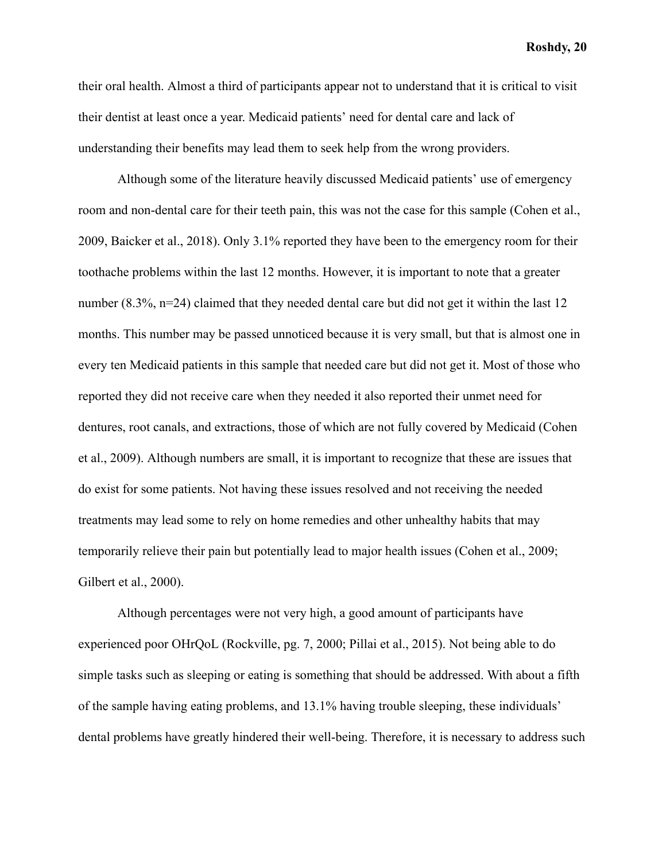their oral health. Almost a third of participants appear not to understand that it is critical to visit their dentist at least once a year. Medicaid patients' need for dental care and lack of understanding their benefits may lead them to seek help from the wrong providers.

Although some of the literature heavily discussed Medicaid patients' use of emergency room and non-dental care for their teeth pain, this was not the case for this sample (Cohen et al., 2009, Baicker et al., 2018). Only 3.1% reported they have been to the emergency room for their toothache problems within the last 12 months. However, it is important to note that a greater number (8.3%, n=24) claimed that they needed dental care but did not get it within the last 12 months. This number may be passed unnoticed because it is very small, but that is almost one in every ten Medicaid patients in this sample that needed care but did not get it. Most of those who reported they did not receive care when they needed it also reported their unmet need for dentures, root canals, and extractions, those of which are not fully covered by Medicaid (Cohen et al., 2009). Although numbers are small, it is important to recognize that these are issues that do exist for some patients. Not having these issues resolved and not receiving the needed treatments may lead some to rely on home remedies and other unhealthy habits that may temporarily relieve their pain but potentially lead to major health issues (Cohen et al., 2009; Gilbert et al., 2000).

Although percentages were not very high, a good amount of participants have experienced poor OHrQoL (Rockville, pg. 7, 2000; Pillai et al., 2015). Not being able to do simple tasks such as sleeping or eating is something that should be addressed. With about a fifth of the sample having eating problems, and 13.1% having trouble sleeping, these individuals' dental problems have greatly hindered their well-being. Therefore, it is necessary to address such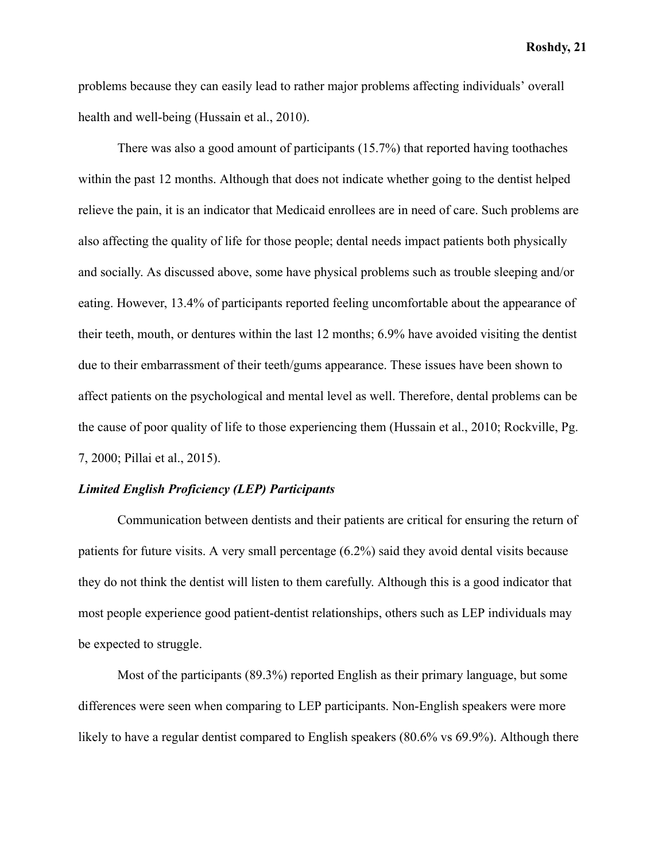problems because they can easily lead to rather major problems affecting individuals' overall health and well-being (Hussain et al., 2010).

There was also a good amount of participants (15.7%) that reported having toothaches within the past 12 months. Although that does not indicate whether going to the dentist helped relieve the pain, it is an indicator that Medicaid enrollees are in need of care. Such problems are also affecting the quality of life for those people; dental needs impact patients both physically and socially. As discussed above, some have physical problems such as trouble sleeping and/or eating. However, 13.4% of participants reported feeling uncomfortable about the appearance of their teeth, mouth, or dentures within the last 12 months; 6.9% have avoided visiting the dentist due to their embarrassment of their teeth/gums appearance. These issues have been shown to affect patients on the psychological and mental level as well. Therefore, dental problems can be the cause of poor quality of life to those experiencing them (Hussain et al., 2010; Rockville, Pg. 7, 2000; Pillai et al., 2015).

#### *Limited English Proficiency (LEP) Participants*

Communication between dentists and their patients are critical for ensuring the return of patients for future visits. A very small percentage (6.2%) said they avoid dental visits because they do not think the dentist will listen to them carefully. Although this is a good indicator that most people experience good patient-dentist relationships, others such as LEP individuals may be expected to struggle.

Most of the participants (89.3%) reported English as their primary language, but some differences were seen when comparing to LEP participants. Non-English speakers were more likely to have a regular dentist compared to English speakers (80.6% vs 69.9%). Although there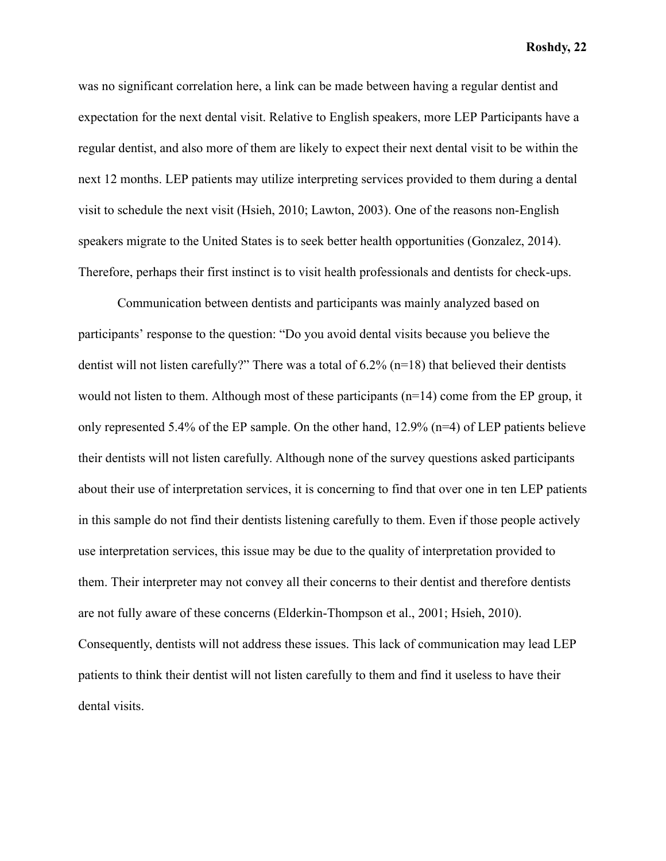was no significant correlation here, a link can be made between having a regular dentist and expectation for the next dental visit. Relative to English speakers, more LEP Participants have a regular dentist, and also more of them are likely to expect their next dental visit to be within the next 12 months. LEP patients may utilize interpreting services provided to them during a dental visit to schedule the next visit (Hsieh, 2010; Lawton, 2003). One of the reasons non-English speakers migrate to the United States is to seek better health opportunities (Gonzalez, 2014). Therefore, perhaps their first instinct is to visit health professionals and dentists for check-ups.

Communication between dentists and participants was mainly analyzed based on participants' response to the question: "Do you avoid dental visits because you believe the dentist will not listen carefully?" There was a total of 6.2% (n=18) that believed their dentists would not listen to them. Although most of these participants (n=14) come from the EP group, it only represented 5.4% of the EP sample. On the other hand, 12.9% (n=4) of LEP patients believe their dentists will not listen carefully. Although none of the survey questions asked participants about their use of interpretation services, it is concerning to find that over one in ten LEP patients in this sample do not find their dentists listening carefully to them. Even if those people actively use interpretation services, this issue may be due to the quality of interpretation provided to them. Their interpreter may not convey all their concerns to their dentist and therefore dentists are not fully aware of these concerns (Elderkin-Thompson et al., 2001; Hsieh, 2010). Consequently, dentists will not address these issues. This lack of communication may lead LEP patients to think their dentist will not listen carefully to them and find it useless to have their dental visits.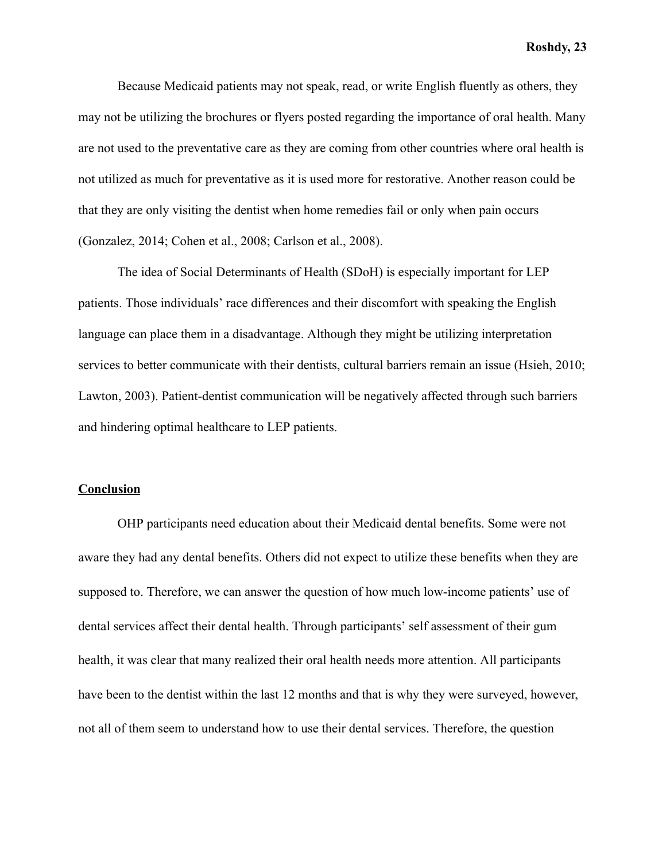Because Medicaid patients may not speak, read, or write English fluently as others, they may not be utilizing the brochures or flyers posted regarding the importance of oral health. Many are not used to the preventative care as they are coming from other countries where oral health is not utilized as much for preventative as it is used more for restorative. Another reason could be that they are only visiting the dentist when home remedies fail or only when pain occurs (Gonzalez, 2014; Cohen et al., 2008; Carlson et al., 2008).

The idea of Social Determinants of Health (SDoH) is especially important for LEP patients. Those individuals' race differences and their discomfort with speaking the English language can place them in a disadvantage. Although they might be utilizing interpretation services to better communicate with their dentists, cultural barriers remain an issue (Hsieh, 2010; Lawton, 2003). Patient-dentist communication will be negatively affected through such barriers and hindering optimal healthcare to LEP patients.

## **Conclusion**

OHP participants need education about their Medicaid dental benefits. Some were not aware they had any dental benefits. Others did not expect to utilize these benefits when they are supposed to. Therefore, we can answer the question of how much low-income patients' use of dental services affect their dental health. Through participants' self assessment of their gum health, it was clear that many realized their oral health needs more attention. All participants have been to the dentist within the last 12 months and that is why they were surveyed, however, not all of them seem to understand how to use their dental services. Therefore, the question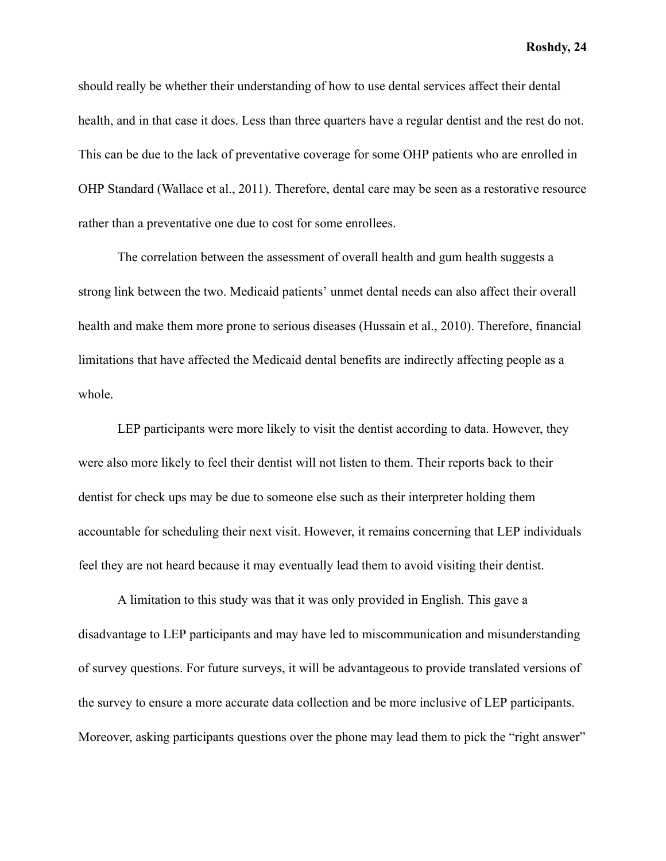should really be whether their understanding of how to use dental services affect their dental health, and in that case it does. Less than three quarters have a regular dentist and the rest do not. This can be due to the lack of preventative coverage for some OHP patients who are enrolled in OHP Standard (Wallace et al., 2011). Therefore, dental care may be seen as a restorative resource rather than a preventative one due to cost for some enrollees.

The correlation between the assessment of overall health and gum health suggests a strong link between the two. Medicaid patients' unmet dental needs can also affect their overall health and make them more prone to serious diseases (Hussain et al., 2010). Therefore, financial limitations that have affected the Medicaid dental benefits are indirectly affecting people as a whole.

LEP participants were more likely to visit the dentist according to data. However, they were also more likely to feel their dentist will not listen to them. Their reports back to their dentist for check ups may be due to someone else such as their interpreter holding them accountable for scheduling their next visit. However, it remains concerning that LEP individuals feel they are not heard because it may eventually lead them to avoid visiting their dentist.

A limitation to this study was that it was only provided in English. This gave a disadvantage to LEP participants and may have led to miscommunication and misunderstanding of survey questions. For future surveys, it will be advantageous to provide translated versions of the survey to ensure a more accurate data collection and be more inclusive of LEP participants. Moreover, asking participants questions over the phone may lead them to pick the "right answer"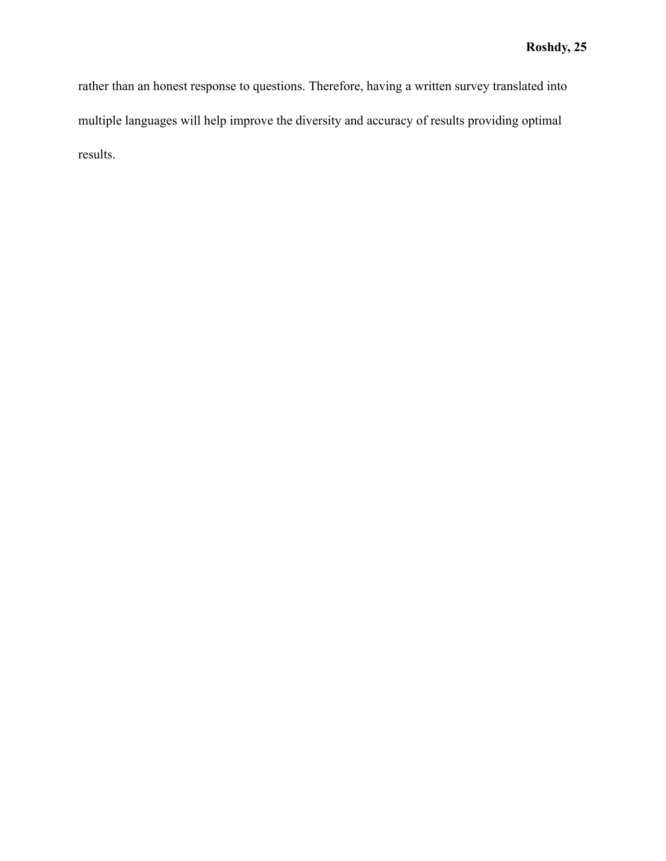rather than an honest response to questions. Therefore, having a written survey translated into multiple languages will help improve the diversity and accuracy of results providing optimal results.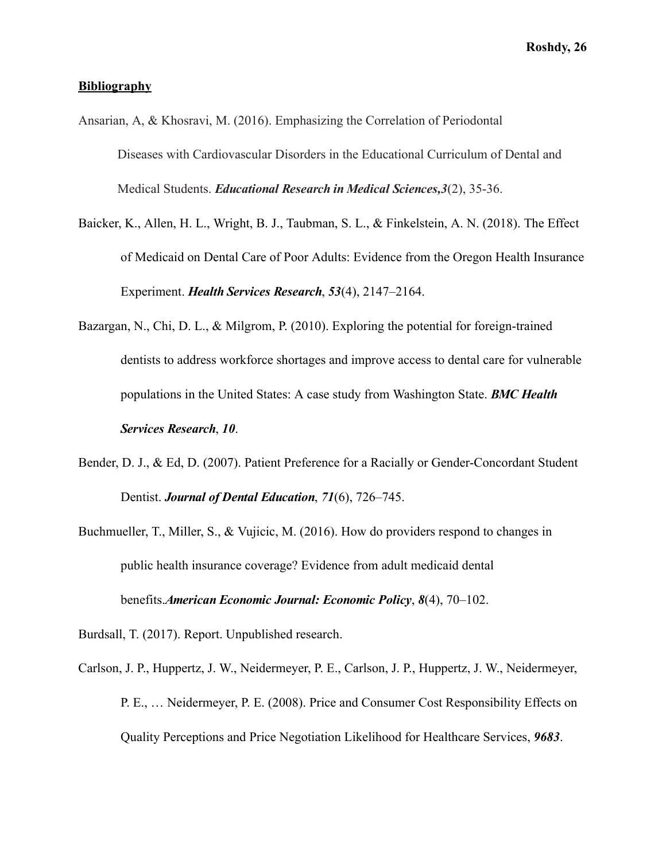# **Bibliography**

- Ansarian, A, & Khosravi, M. (2016). Emphasizing the Correlation of Periodontal Diseases with Cardiovascular Disorders in the Educational Curriculum of Dental and Medical Students. *Educational Research in Medical Sciences,3* (2), 35-36.
- Baicker, K., Allen, H. L., Wright, B. J., Taubman, S. L., & Finkelstein, A. N. (2018). The Effect of Medicaid on Dental Care of Poor Adults: Evidence from the Oregon Health Insurance Experiment. *Health Services Research*, *53* (4), 2147–2164.
- Bazargan, N., Chi, D. L., & Milgrom, P. (2010). Exploring the potential for foreign-trained dentists to address workforce shortages and improve access to dental care for vulnerable populations in the United States: A case study from Washington State. *BMC Health Services Research*, *10* .
- Bender, D. J., & Ed, D. (2007). Patient Preference for a Racially or Gender-Concordant Student Dentist. *Journal of Dental Education*, 71(6), 726–745.
- Buchmueller, T., Miller, S., & Vujicic, M. (2016). How do providers respond to changes in public health insurance coverage? Evidence from adult medicaid dental benefits. *American Economic Journal: Economic Policy* , *8* (4), 70–102.
- Burdsall, T. (2017). Report. Unpublished research.
- Carlson, J. P., Huppertz, J. W., Neidermeyer, P. E., Carlson, J. P., Huppertz, J. W., Neidermeyer, P. E., … Neidermeyer, P. E. (2008). Price and Consumer Cost Responsibility Effects on Quality Perceptions and Price Negotiation Likelihood for Healthcare Services, *9683* .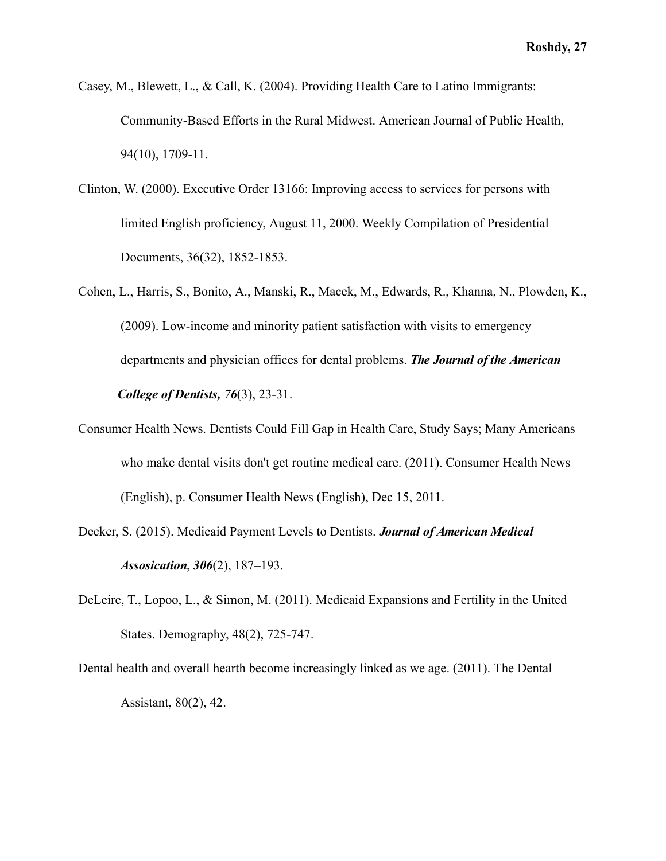- Casey, M., Blewett, L., & Call, K. (2004). Providing Health Care to Latino Immigrants: Community-Based Efforts in the Rural Midwest. American Journal of Public Health, 94(10), 1709-11.
- Clinton, W. (2000). Executive Order 13166: Improving access to services for persons with limited English proficiency, August 11, 2000. Weekly Compilation of Presidential Documents, 36(32), 1852-1853.
- Cohen, L., Harris, S., Bonito, A., Manski, R., Macek, M., Edwards, R., Khanna, N., Plowden, K., (2009). Low-income and minority patient satisfaction with visits to emergency departments and physician offices for dental problems. *The Journal of the American College of Dentists, 76(3), 23-31.*
- Consumer Health News. Dentists Could Fill Gap in Health Care, Study Says; Many Americans who make dental visits don't get routine medical care. (2011). Consumer Health News (English), p. Consumer Health News (English), Dec 15, 2011.
- Decker, S. (2015). Medicaid Payment Levels to Dentists. *Journal of American Medical Assosication*, *306* (2), 187–193.
- DeLeire, T., Lopoo, L., & Simon, M. (2011). Medicaid Expansions and Fertility in the United States. Demography, 48(2), 725-747.
- Dental health and overall hearth become increasingly linked as we age. (2011). The Dental Assistant, 80(2), 42.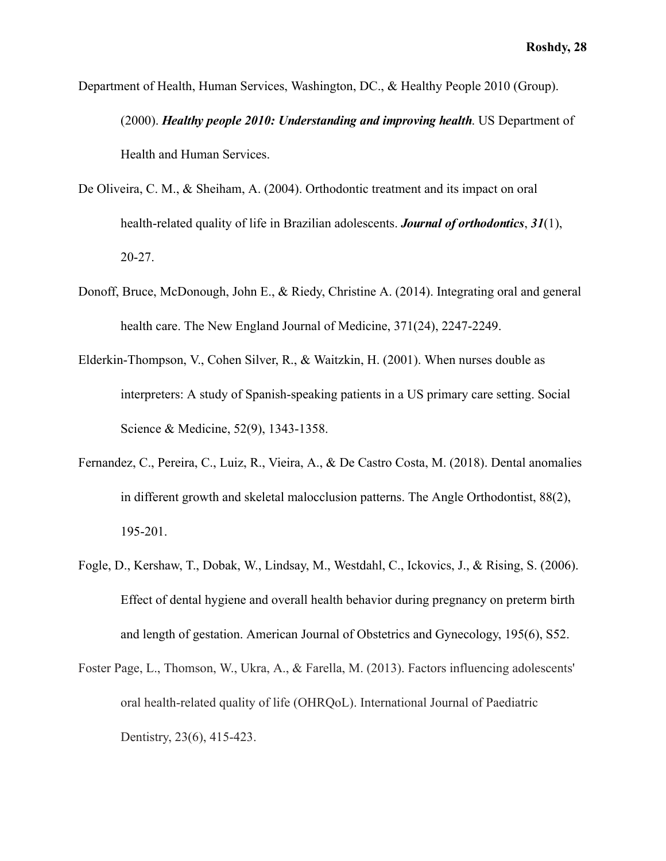- Department of Health, Human Services, Washington, DC., & Healthy People 2010 (Group). (2000). *Healthy people 2010: Understanding and improving health*. US Department of Health and Human Services.
- De Oliveira, C. M., & Sheiham, A. (2004). Orthodontic treatment and its impact on oral health-related quality of life in Brazilian adolescents. *Journal of orthodontics* , *31* (1), 20-27.
- Donoff, Bruce, McDonough, John E., & Riedy, Christine A. (2014). Integrating oral and general health care. The New England Journal of Medicine, 371(24), 2247-2249.
- Elderkin-Thompson, V., Cohen Silver, R., & Waitzkin, H. (2001). When nurses double as interpreters: A study of Spanish-speaking patients in a US primary care setting. Social Science & Medicine, 52(9), 1343-1358.
- Fernandez, C., Pereira, C., Luiz, R., Vieira, A., & De Castro Costa, M. (2018). Dental anomalies in different growth and skeletal malocclusion patterns. The Angle Orthodontist, 88(2), 195-201.
- Fogle, D., Kershaw, T., Dobak, W., Lindsay, M., Westdahl, C., Ickovics, J., & Rising, S. (2006). Effect of dental hygiene and overall health behavior during pregnancy on preterm birth and length of gestation. American Journal of Obstetrics and Gynecology, 195(6), S52.
- Foster Page, L., Thomson, W., Ukra, A., & Farella, M. (2013). Factors influencing adolescents' oral health-related quality of life (OHRQoL). International Journal of Paediatric Dentistry, 23(6), 415-423.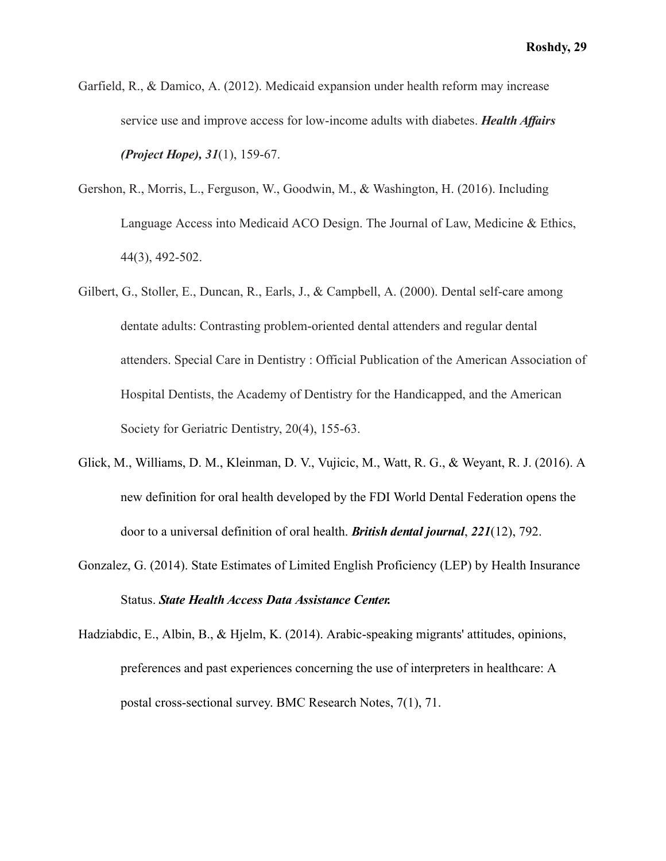- Garfield, R., & Damico, A. (2012). Medicaid expansion under health reform may increase service use and improve access for low-income adults with diabetes. *Health Affairs (Project Hope), 31(1), 159-67.*
- Gershon, R., Morris, L., Ferguson, W., Goodwin, M., & Washington, H. (2016). Including Language Access into Medicaid ACO Design. The Journal of Law, Medicine & Ethics, 44(3), 492-502.
- Gilbert, G., Stoller, E., Duncan, R., Earls, J., & Campbell, A. (2000). Dental self-care among dentate adults: Contrasting problem-oriented dental attenders and regular dental attenders. Special Care in Dentistry : Official Publication of the American Association of Hospital Dentists, the Academy of Dentistry for the Handicapped, and the American Society for Geriatric Dentistry, 20(4), 155-63.
- Glick, M., Williams, D. M., Kleinman, D. V., Vujicic, M., Watt, R. G., & Weyant, R. J. (2016). A new definition for oral health developed by the FDI World Dental Federation opens the door to a universal definition of oral health. *British dental journal* , *221* (12), 792.
- Gonzalez, G. (2014). State Estimates of Limited English Proficiency (LEP) by Health Insurance Status. *State Health Access Data Assistance Center.*
- Hadziabdic, E., Albin, B., & Hjelm, K. (2014). Arabic-speaking migrants' attitudes, opinions, preferences and past experiences concerning the use of interpreters in healthcare: A postal cross-sectional survey. BMC Research Notes, 7(1), 71.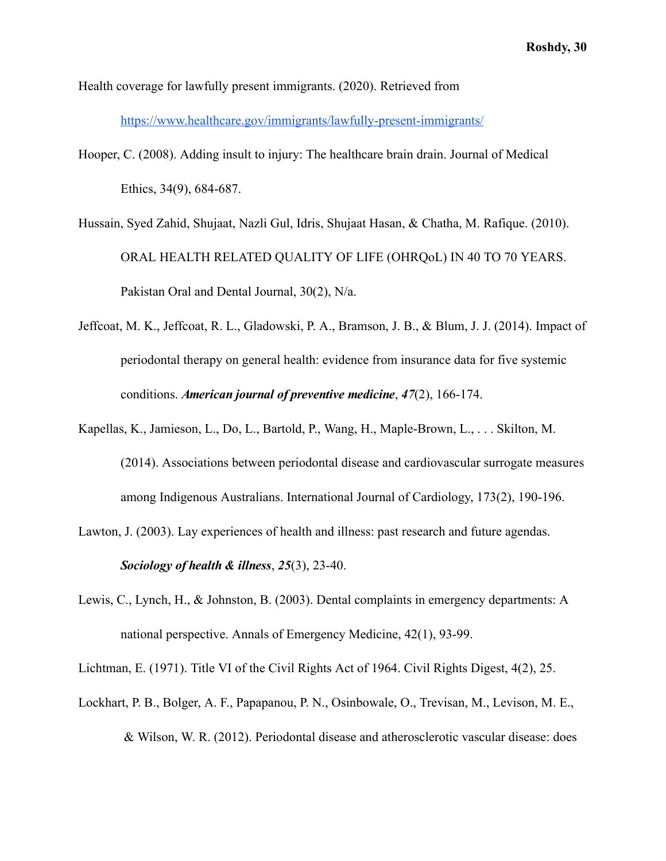Health coverage for lawfully present immigrants. (2020). Retrieved from

<https://www.healthcare.gov/immigrants/lawfully-present-immigrants/>

Hooper, C. (2008). Adding insult to injury: The healthcare brain drain. Journal of Medical Ethics, 34(9), 684-687.

Hussain, Syed Zahid, Shujaat, Nazli Gul, Idris, Shujaat Hasan, & Chatha, M. Rafique. (2010). ORAL HEALTH RELATED QUALITY OF LIFE (OHRQoL) IN 40 TO 70 YEARS. Pakistan Oral and Dental Journal, 30(2), N/a.

- Jeffcoat, M. K., Jeffcoat, R. L., Gladowski, P. A., Bramson, J. B., & Blum, J. J. (2014). Impact of periodontal therapy on general health: evidence from insurance data for five systemic conditions. *American journal of preventive medicine*, 47(2), 166-174.
- Kapellas, K., Jamieson, L., Do, L., Bartold, P., Wang, H., Maple-Brown, L., . . . Skilton, M. (2014). Associations between periodontal disease and cardiovascular surrogate measures among Indigenous Australians. International Journal of Cardiology, 173(2), 190-196.
- Lawton, J. (2003). Lay experiences of health and illness: past research and future agendas. *Sociology of health & illness* , *25* (3), 23-40.
- Lewis, C., Lynch, H., & Johnston, B. (2003). Dental complaints in emergency departments: A national perspective. Annals of Emergency Medicine, 42(1), 93-99.

Lichtman, E. (1971). Title VI of the Civil Rights Act of 1964. Civil Rights Digest, 4(2), 25.

Lockhart, P. B., Bolger, A. F., Papapanou, P. N., Osinbowale, O., Trevisan, M., Levison, M. E., & Wilson, W. R. (2012). Periodontal disease and atherosclerotic vascular disease: does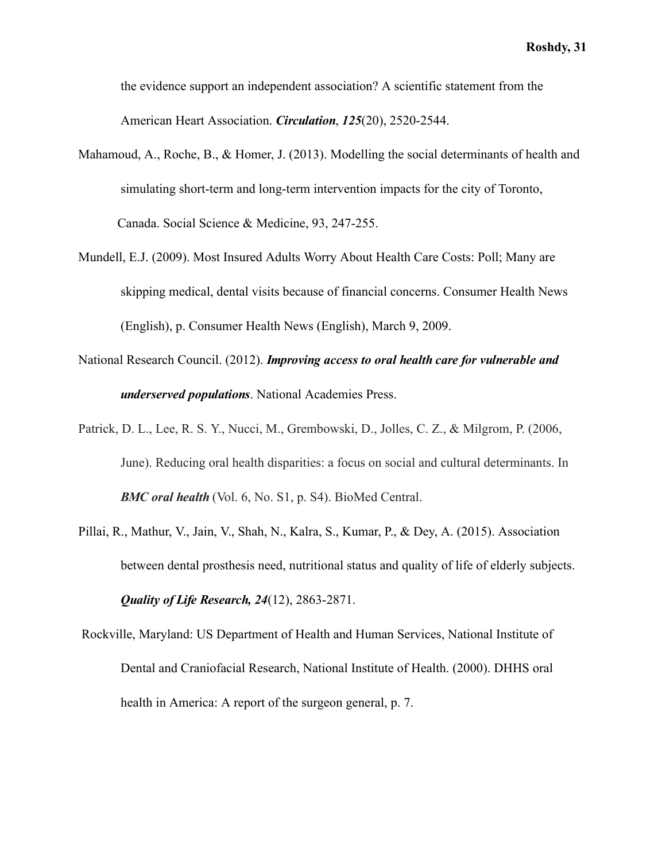the evidence support an independent association? A scientific statement from the American Heart Association. *Circulation*, 125(20), 2520-2544.

- Mahamoud, A., Roche, B., & Homer, J. (2013). Modelling the social determinants of health and simulating short-term and long-term intervention impacts for the city of Toronto, Canada. Social Science & Medicine, 93, 247-255.
- Mundell, E.J. (2009). Most Insured Adults Worry About Health Care Costs: Poll; Many are skipping medical, dental visits because of financial concerns. Consumer Health News (English), p. Consumer Health News (English), March 9, 2009.
- National Research Council. (2012). *Improving access to oral health care for vulnerable and underserved populations* . National Academies Press.
- Patrick, D. L., Lee, R. S. Y., Nucci, M., Grembowski, D., Jolles, C. Z., & Milgrom, P. (2006, June). Reducing oral health disparities: a focus on social and cultural determinants. In *BMC oral health* (Vol. 6, No. S1, p. S4). BioMed Central.
- Pillai, R., Mathur, V., Jain, V., Shah, N., Kalra, S., Kumar, P., & Dey, A. (2015). Association between dental prosthesis need, nutritional status and quality of life of elderly subjects. *Quality of Life Research, 24(12), 2863-2871.*
- Rockville, Maryland: US Department of Health and Human Services, National Institute of Dental and Craniofacial Research, National Institute of Health. (2000). DHHS oral health in America: A report of the surgeon general, p. 7.